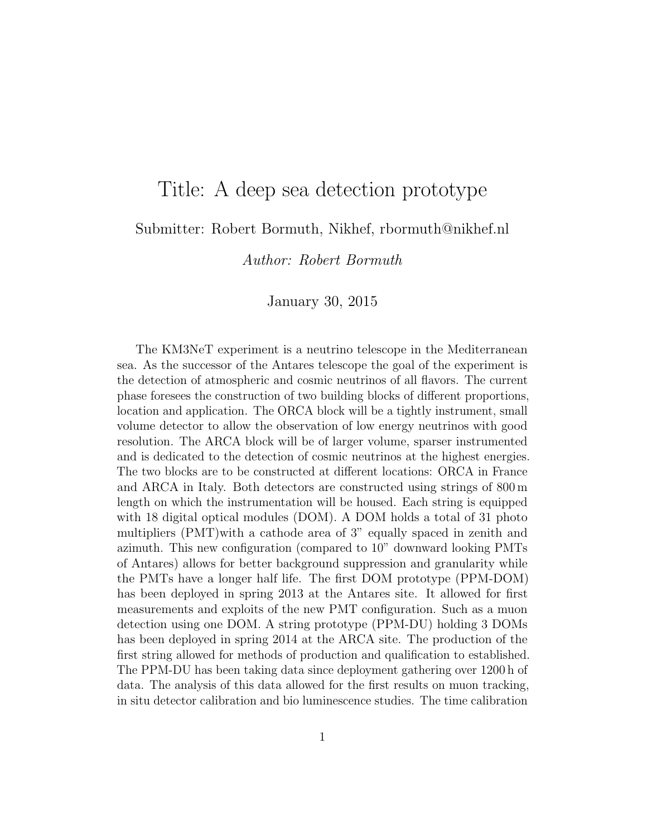## Title: A deep sea detection prototype

## Submitter: Robert Bormuth, Nikhef, rbormuth@nikhef.nl

Author: Robert Bormuth

## January 30, 2015

The KM3NeT experiment is a neutrino telescope in the Mediterranean sea. As the successor of the Antares telescope the goal of the experiment is the detection of atmospheric and cosmic neutrinos of all flavors. The current phase foresees the construction of two building blocks of different proportions, location and application. The ORCA block will be a tightly instrument, small volume detector to allow the observation of low energy neutrinos with good resolution. The ARCA block will be of larger volume, sparser instrumented and is dedicated to the detection of cosmic neutrinos at the highest energies. The two blocks are to be constructed at different locations: ORCA in France and ARCA in Italy. Both detectors are constructed using strings of 800 m length on which the instrumentation will be housed. Each string is equipped with 18 digital optical modules (DOM). A DOM holds a total of 31 photo multipliers (PMT)with a cathode area of 3" equally spaced in zenith and azimuth. This new configuration (compared to 10" downward looking PMTs of Antares) allows for better background suppression and granularity while the PMTs have a longer half life. The first DOM prototype (PPM-DOM) has been deployed in spring 2013 at the Antares site. It allowed for first measurements and exploits of the new PMT configuration. Such as a muon detection using one DOM. A string prototype (PPM-DU) holding 3 DOMs has been deployed in spring 2014 at the ARCA site. The production of the first string allowed for methods of production and qualification to established. The PPM-DU has been taking data since deployment gathering over 1200 h of data. The analysis of this data allowed for the first results on muon tracking, in situ detector calibration and bio luminescence studies. The time calibration